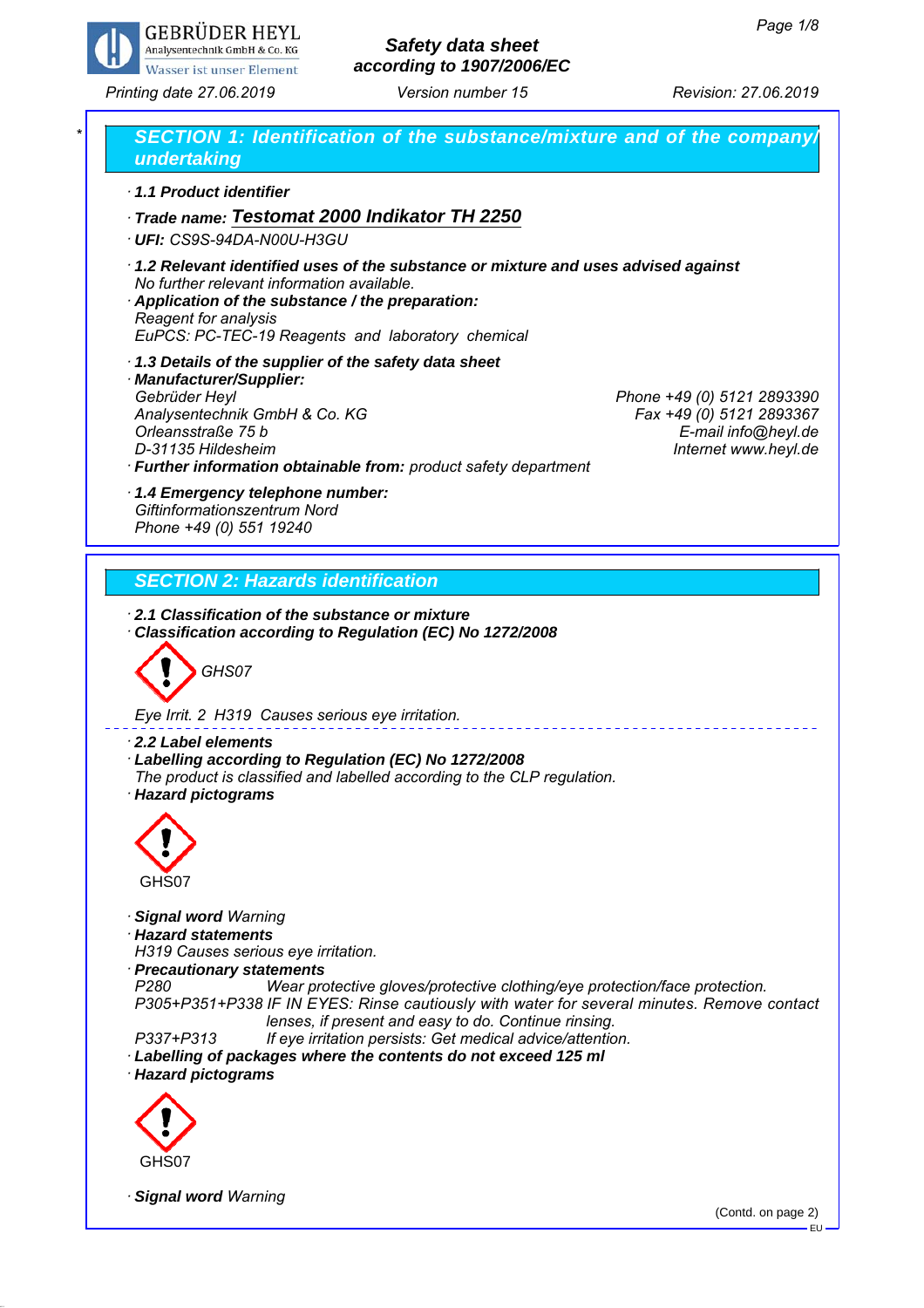

# *Safety data sheet according to 1907/2006/EC*

*Printing date 27.06.2019 Revision: 27.06.2019 Version number 15*



EU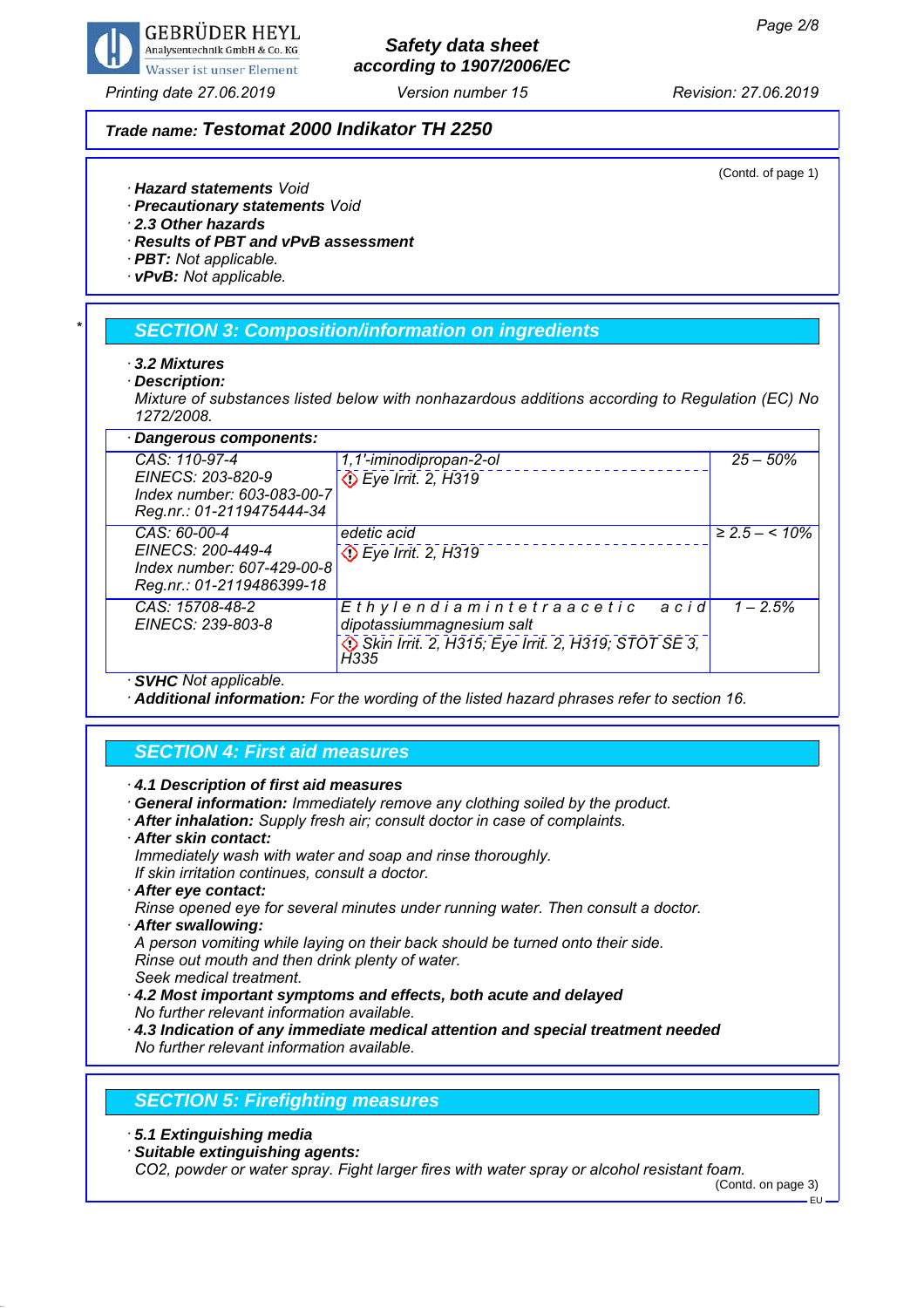

# *Safety data sheet according to 1907/2006/EC*

### *Trade name: Testomat 2000 Indikator TH 2250*

(Contd. of page 1)

- *· Hazard statements Void*
- *· Precautionary statements Void*
- *· 2.3 Other hazards*
- *· Results of PBT and vPvB assessment*
- *· PBT: Not applicable.*
- *· vPvB: Not applicable.*

### *\* SECTION 3: Composition/information on ingredients*

- *· 3.2 Mixtures*
- *· Description:*

*Mixture of substances listed below with nonhazardous additions according to Regulation (EC) No 1272/2008.*

| · Dangerous components:                                                      |                                                               |                    |  |  |
|------------------------------------------------------------------------------|---------------------------------------------------------------|--------------------|--|--|
| CAS: 110-97-4                                                                | 1,1'-iminodipropan-2-ol                                       | $25 - 50\%$        |  |  |
| EINECS: 203-820-9<br>Index number: 603-083-00-7<br>Reg.nr.: 01-2119475444-34 | Eye Irrit. 2, H319                                            |                    |  |  |
| CAS: 60-00-4                                                                 | edetic acid                                                   | $\geq$ 2.5 – < 10% |  |  |
| EINECS: 200-449-4                                                            | De Irrit. 2, H319                                             |                    |  |  |
| Index number: 607-429-00-8<br>Reg.nr.: 01-2119486399-18                      |                                                               |                    |  |  |
| CAS: 15708-48-2<br>EINECS: 239-803-8                                         | Ethylendiamintetraacetic<br>acid<br>dipotassiummagnesium salt | $1 - 2.5%$         |  |  |
|                                                                              |                                                               |                    |  |  |
|                                                                              | Skin Irrit. 2, H315; Eye Irrit. 2, H319; STOT SE 3,<br>H335   |                    |  |  |
| $A$ $(B$ $ B$ $ A$ $ C$ $ C$ $ D$                                            |                                                               |                    |  |  |

*· SVHC Not applicable.*

*· Additional information: For the wording of the listed hazard phrases refer to section 16.*

### *SECTION 4: First aid measures*

*· 4.1 Description of first aid measures*

*· General information: Immediately remove any clothing soiled by the product.*

- *· After inhalation: Supply fresh air; consult doctor in case of complaints.*
- *· After skin contact:*

*Immediately wash with water and soap and rinse thoroughly.*

- *If skin irritation continues, consult a doctor.*
- *· After eye contact:*

*Rinse opened eye for several minutes under running water. Then consult a doctor. · After swallowing:*

*A person vomiting while laying on their back should be turned onto their side. Rinse out mouth and then drink plenty of water.*

*Seek medical treatment.*

*· 4.2 Most important symptoms and effects, both acute and delayed No further relevant information available.*

*· 4.3 Indication of any immediate medical attention and special treatment needed No further relevant information available.*

#### *SECTION 5: Firefighting measures*

*· 5.1 Extinguishing media*

*· Suitable extinguishing agents:*

*CO2, powder or water spray. Fight larger fires with water spray or alcohol resistant foam.*

EU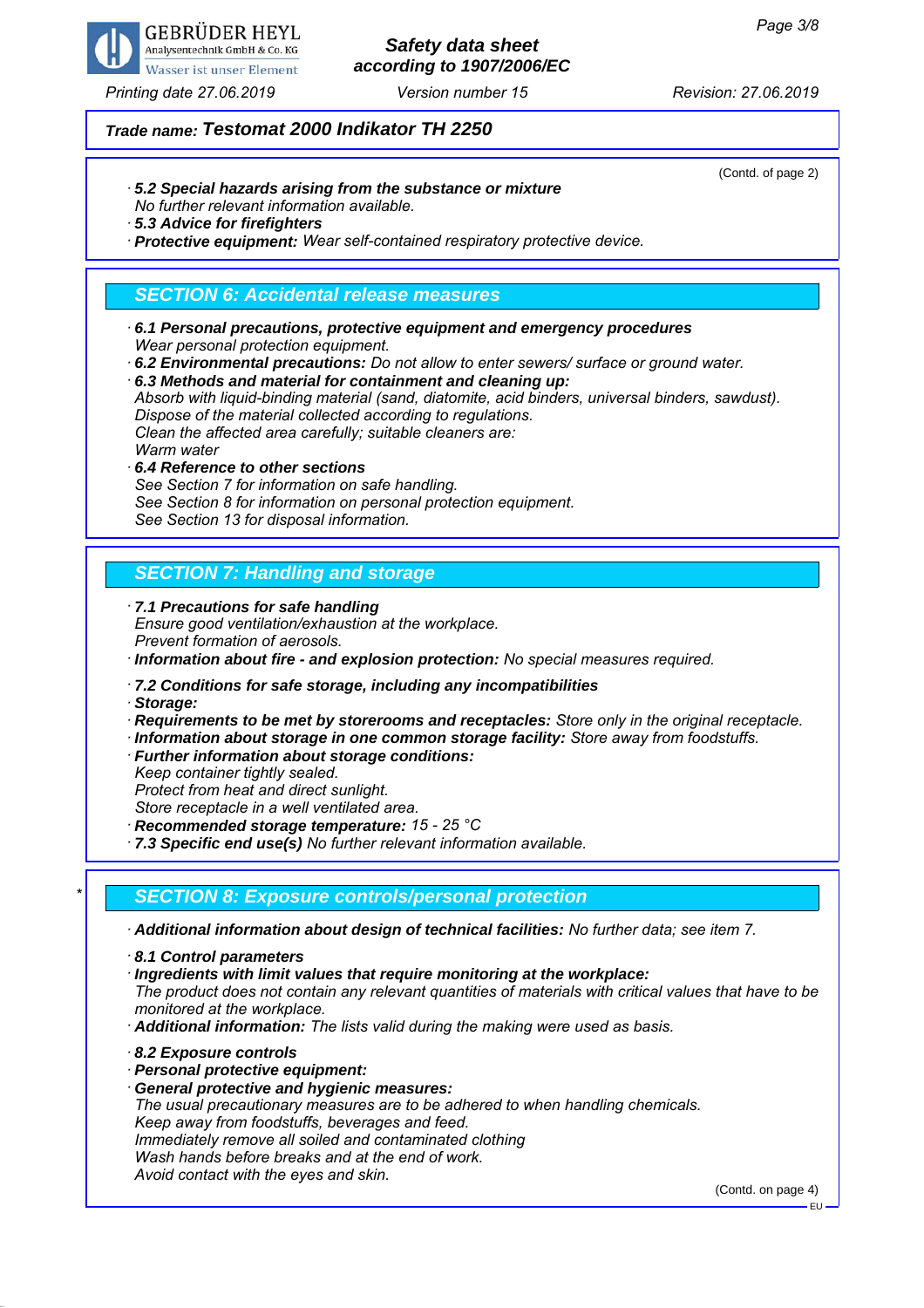

## *Safety data sheet according to 1907/2006/EC*

### *Trade name: Testomat 2000 Indikator TH 2250*

*· 5.2 Special hazards arising from the substance or mixture*

*No further relevant information available.*

*· 5.3 Advice for firefighters*

*· Protective equipment: Wear self-contained respiratory protective device.*

## *SECTION 6: Accidental release measures*

- *· 6.1 Personal precautions, protective equipment and emergency procedures Wear personal protection equipment.*
- *· 6.2 Environmental precautions: Do not allow to enter sewers/ surface or ground water.*
- *· 6.3 Methods and material for containment and cleaning up:*

*Absorb with liquid-binding material (sand, diatomite, acid binders, universal binders, sawdust). Dispose of the material collected according to regulations. Clean the affected area carefully; suitable cleaners are:*

*Warm water*

*· 6.4 Reference to other sections See Section 7 for information on safe handling. See Section 8 for information on personal protection equipment. See Section 13 for disposal information.*

## *SECTION 7: Handling and storage*

*· 7.1 Precautions for safe handling Ensure good ventilation/exhaustion at the workplace. Prevent formation of aerosols.*

*· Information about fire - and explosion protection: No special measures required.*

*· 7.2 Conditions for safe storage, including any incompatibilities*

*· Storage:*

*· Requirements to be met by storerooms and receptacles: Store only in the original receptacle.*

- *· Information about storage in one common storage facility: Store away from foodstuffs.*
- *· Further information about storage conditions:*
- *Keep container tightly sealed.*

*Protect from heat and direct sunlight.*

*Store receptacle in a well ventilated area.*

*· Recommended storage temperature: 15 - 25 °C*

*· 7.3 Specific end use(s) No further relevant information available.*

## *\* SECTION 8: Exposure controls/personal protection*

*· Additional information about design of technical facilities: No further data; see item 7.*

*· 8.1 Control parameters*

*· Ingredients with limit values that require monitoring at the workplace:*

*The product does not contain any relevant quantities of materials with critical values that have to be monitored at the workplace.*

- *· Additional information: The lists valid during the making were used as basis.*
- *· 8.2 Exposure controls*
- *· Personal protective equipment:*
- *· General protective and hygienic measures:*

*The usual precautionary measures are to be adhered to when handling chemicals. Keep away from foodstuffs, beverages and feed. Immediately remove all soiled and contaminated clothing*

*Wash hands before breaks and at the end of work.*

*Avoid contact with the eyes and skin.*

(Contd. on page 4)

(Contd. of page 2)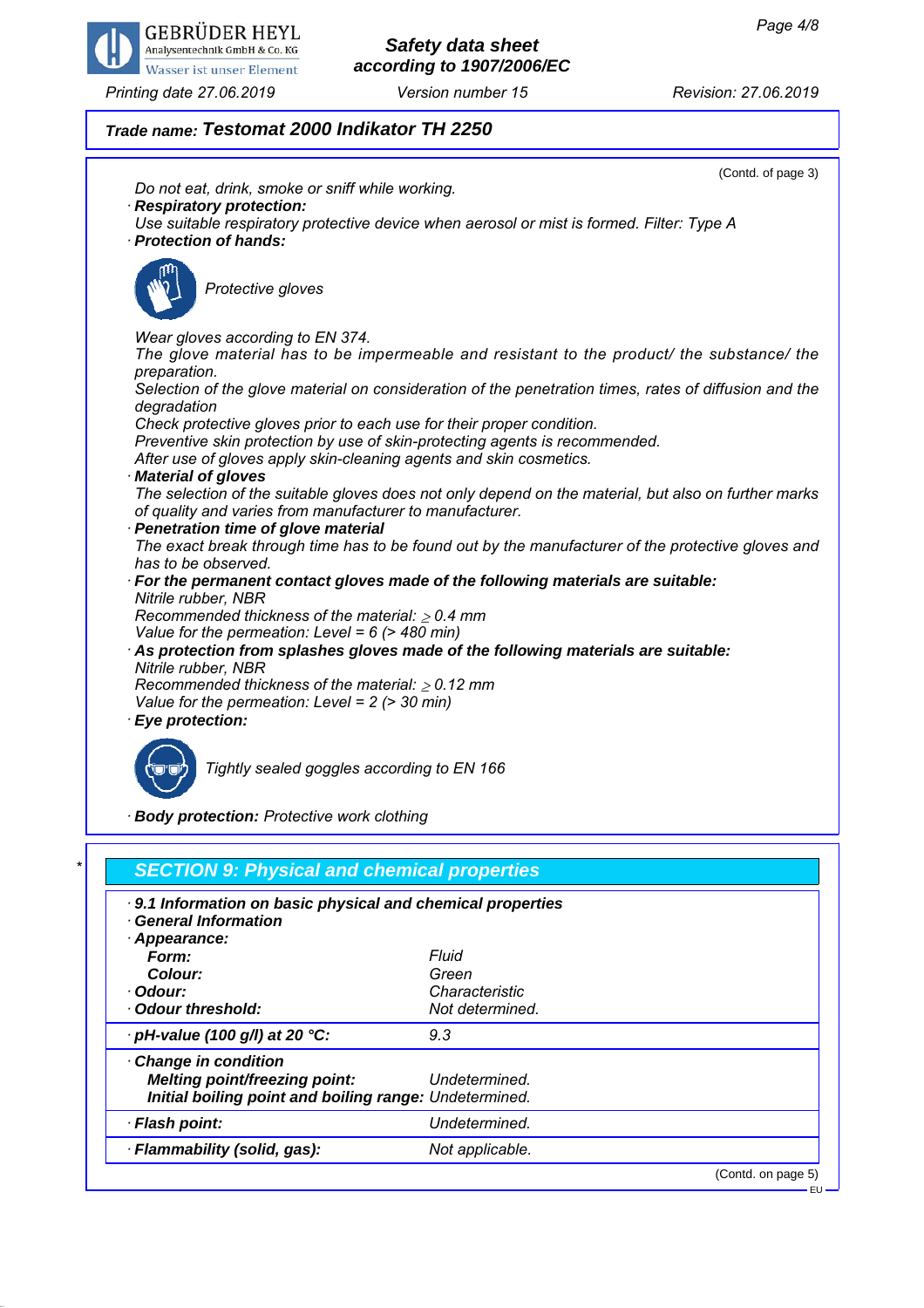

## *Safety data sheet according to 1907/2006/EC*

## *Trade name: Testomat 2000 Indikator TH 2250*

*· pH-value (100 g/l) at 20 °C: 9.3*

*Melting point/freezing point: Undetermined. Initial boiling point and boiling range: Undetermined. · Flash point: Undetermined. · Flammability (solid, gas): Not applicable.*

*· Change in condition*



(Contd. on page 5) EU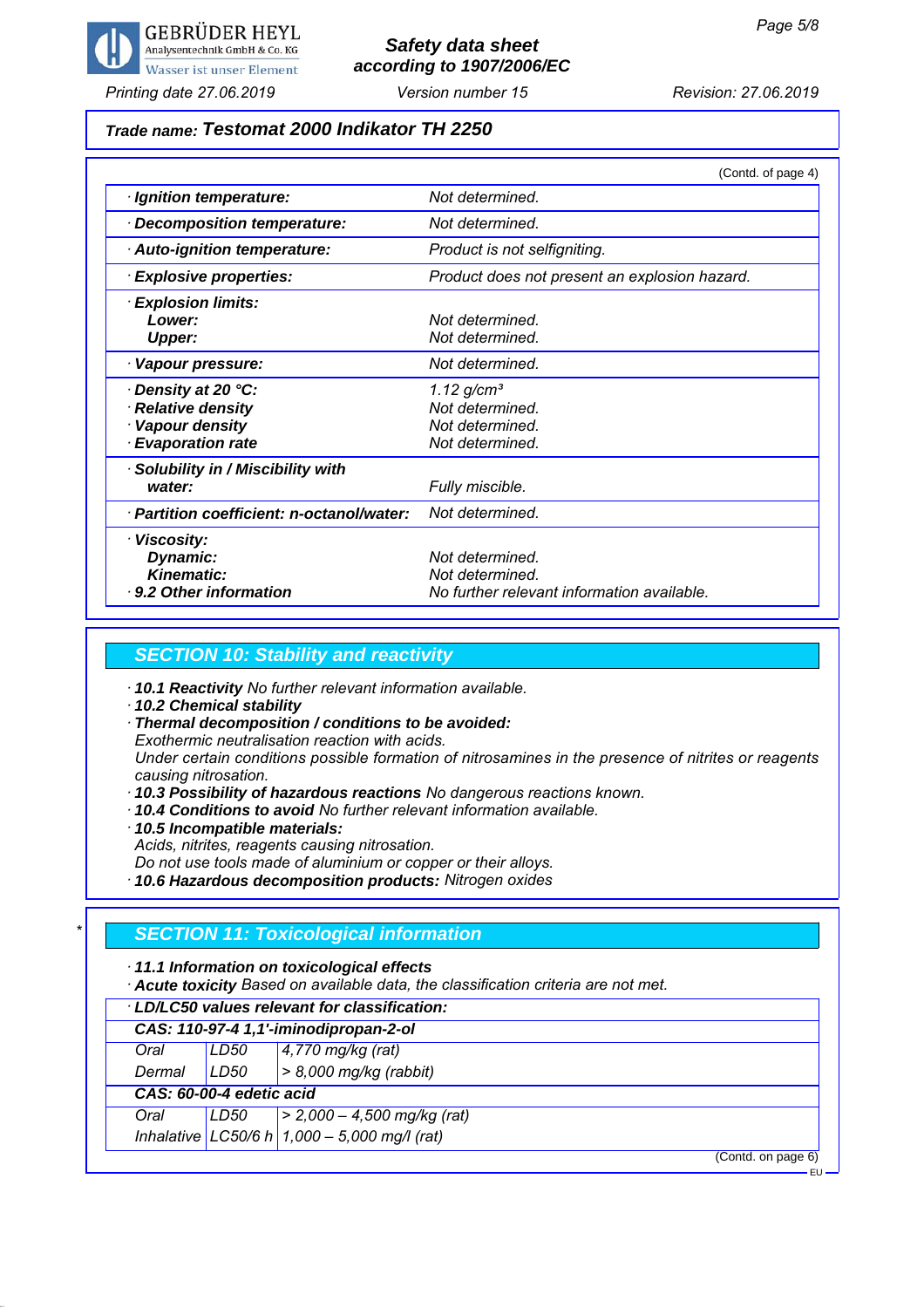

## *Safety data sheet according to 1907/2006/EC*

## *Trade name: Testomat 2000 Indikator TH 2250*

|                                           | (Contd. of page 4)                            |
|-------------------------------------------|-----------------------------------------------|
| · Ignition temperature:                   | Not determined.                               |
| Decomposition temperature:                | Not determined.                               |
| · Auto-ignition temperature:              | Product is not selfigniting.                  |
| · Explosive properties:                   | Product does not present an explosion hazard. |
| <b>Explosion limits:</b>                  |                                               |
| Lower:                                    | Not determined                                |
| <b>Upper:</b>                             | Not determined.                               |
| Vapour pressure:                          | Not determined.                               |
| Density at 20 °C:                         | $1.12$ g/cm <sup>3</sup>                      |
| <b>Relative density</b>                   | Not determined.                               |
| Vapour density                            | Not determined.                               |
| · Evaporation rate                        | Not determined.                               |
| Solubility in / Miscibility with          |                                               |
| water:                                    | Fully miscible.                               |
| · Partition coefficient: n-octanol/water: | Not determined.                               |
| · Viscosity:                              |                                               |
| Dynamic:                                  | Not determined.                               |
| <b>Kinematic:</b>                         | Not determined.                               |
| ⋅ 9.2 Other information                   | No further relevant information available.    |

#### *SECTION 10: Stability and reactivity*

- *· 10.1 Reactivity No further relevant information available.*
- *· 10.2 Chemical stability*
- *· Thermal decomposition / conditions to be avoided:*

*Exothermic neutralisation reaction with acids.*

*Under certain conditions possible formation of nitrosamines in the presence of nitrites or reagents causing nitrosation.*

- *· 10.3 Possibility of hazardous reactions No dangerous reactions known.*
- *· 10.4 Conditions to avoid No further relevant information available.*
- *· 10.5 Incompatible materials:*
- *Acids, nitrites, reagents causing nitrosation.*

*Do not use tools made of aluminium or copper or their alloys.*

*· 10.6 Hazardous decomposition products: Nitrogen oxides*

### *\* SECTION 11: Toxicological information*

*· 11.1 Information on toxicological effects*

*· Acute toxicity Based on available data, the classification criteria are not met.*

| LD/LC50 values relevant for classification: |                                       |                                                |  |  |
|---------------------------------------------|---------------------------------------|------------------------------------------------|--|--|
|                                             | CAS: 110-97-4 1,1'-iminodipropan-2-ol |                                                |  |  |
| Oral                                        | LD50                                  | $4,770$ mg/kg (rat)                            |  |  |
| Dermal                                      | LD50                                  | $> 8,000$ mg/kg (rabbit)                       |  |  |
|                                             | CAS: 60-00-4 edetic acid              |                                                |  |  |
| Oral                                        | LD50                                  | $\vert$ > 2,000 - 4,500 mg/kg (rat)            |  |  |
|                                             |                                       | Inhalative LC50/6 h $1,000 - 5,000$ mg/l (rat) |  |  |

(Contd. on page 6)

EU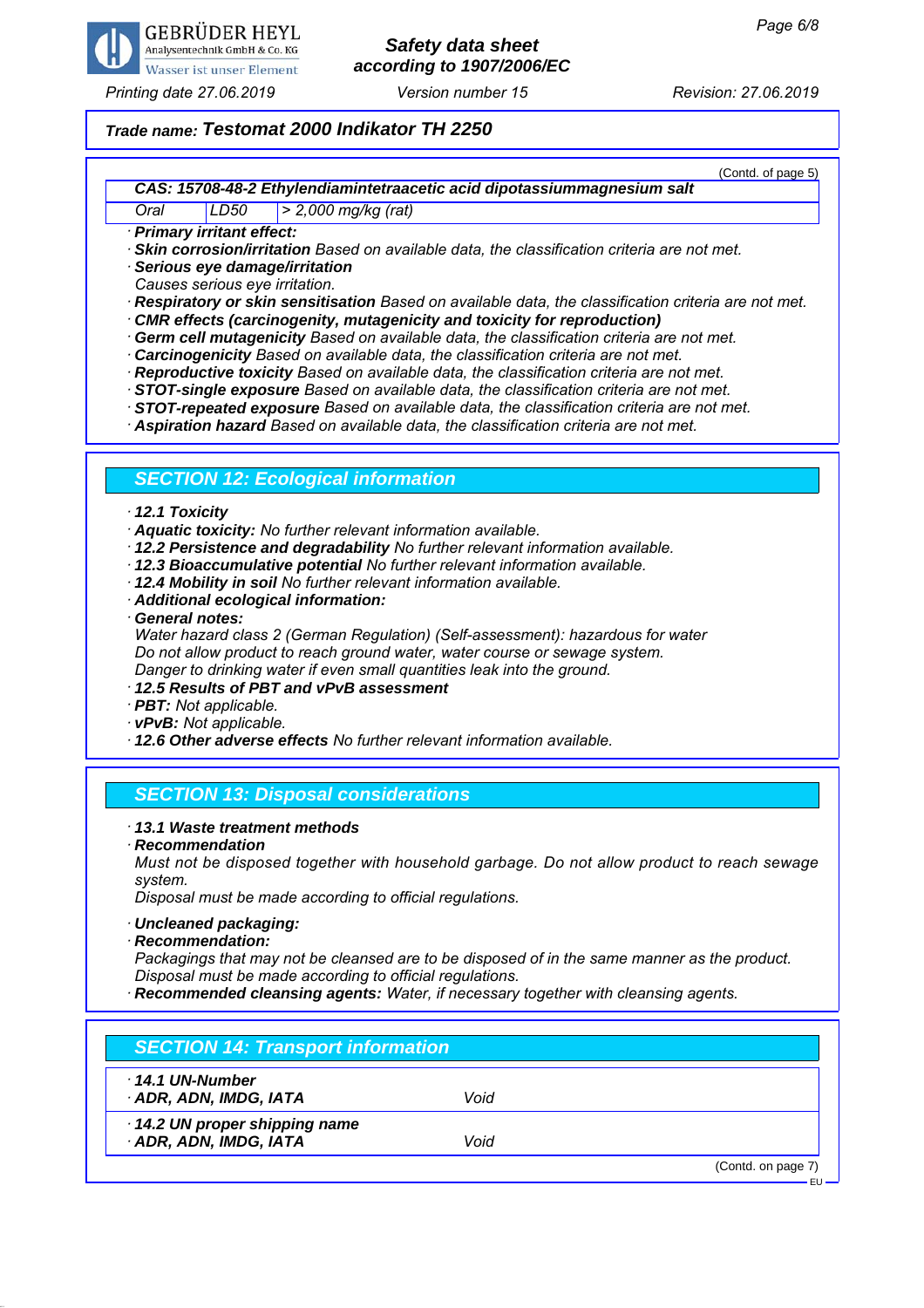

# *Safety data sheet according to 1907/2006/EC*

*Printing date 27.06.2019 Revision: 27.06.2019 Version number 15*

(Contd. of page 5)

### *Trade name: Testomat 2000 Indikator TH 2250*

*CAS: 15708-48-2 Ethylendiamintetraacetic acid dipotassiummagnesium salt*

*Oral LD50 > 2,000 mg/kg (rat)*

*· Primary irritant effect:*

*· Skin corrosion/irritation Based on available data, the classification criteria are not met.*

*· Serious eye damage/irritation*

*Causes serious eye irritation.*

*· Respiratory or skin sensitisation Based on available data, the classification criteria are not met.*

- *· CMR effects (carcinogenity, mutagenicity and toxicity for reproduction)*
- *· Germ cell mutagenicity Based on available data, the classification criteria are not met.*
- *· Carcinogenicity Based on available data, the classification criteria are not met.*
- *· Reproductive toxicity Based on available data, the classification criteria are not met.*

*· STOT-single exposure Based on available data, the classification criteria are not met.*

*· STOT-repeated exposure Based on available data, the classification criteria are not met.*

*· Aspiration hazard Based on available data, the classification criteria are not met.*

### *SECTION 12: Ecological information*

#### *· 12.1 Toxicity*

*· Aquatic toxicity: No further relevant information available.*

- *· 12.2 Persistence and degradability No further relevant information available.*
- *· 12.3 Bioaccumulative potential No further relevant information available.*
- *· 12.4 Mobility in soil No further relevant information available.*
- *· Additional ecological information:*
- *· General notes:*

*Water hazard class 2 (German Regulation) (Self-assessment): hazardous for water Do not allow product to reach ground water, water course or sewage system. Danger to drinking water if even small quantities leak into the ground.*

- *· 12.5 Results of PBT and vPvB assessment*
- *· PBT: Not applicable.*
- *· vPvB: Not applicable.*
- *· 12.6 Other adverse effects No further relevant information available.*

### *SECTION 13: Disposal considerations*

#### *· 13.1 Waste treatment methods*

*· Recommendation*

*Must not be disposed together with household garbage. Do not allow product to reach sewage system.*

*Disposal must be made according to official regulations.*

- *· Uncleaned packaging:*
- *· Recommendation:*

*Packagings that may not be cleansed are to be disposed of in the same manner as the product. Disposal must be made according to official regulations.*

*· Recommended cleansing agents: Water, if necessary together with cleansing agents.*

| 14.1 UN-Number               |      |  |
|------------------------------|------|--|
| ADR, ADN, IMDG, IATA         | Void |  |
| 14.2 UN proper shipping name |      |  |
| · ADR, ADN, IMDG, IATA       | Void |  |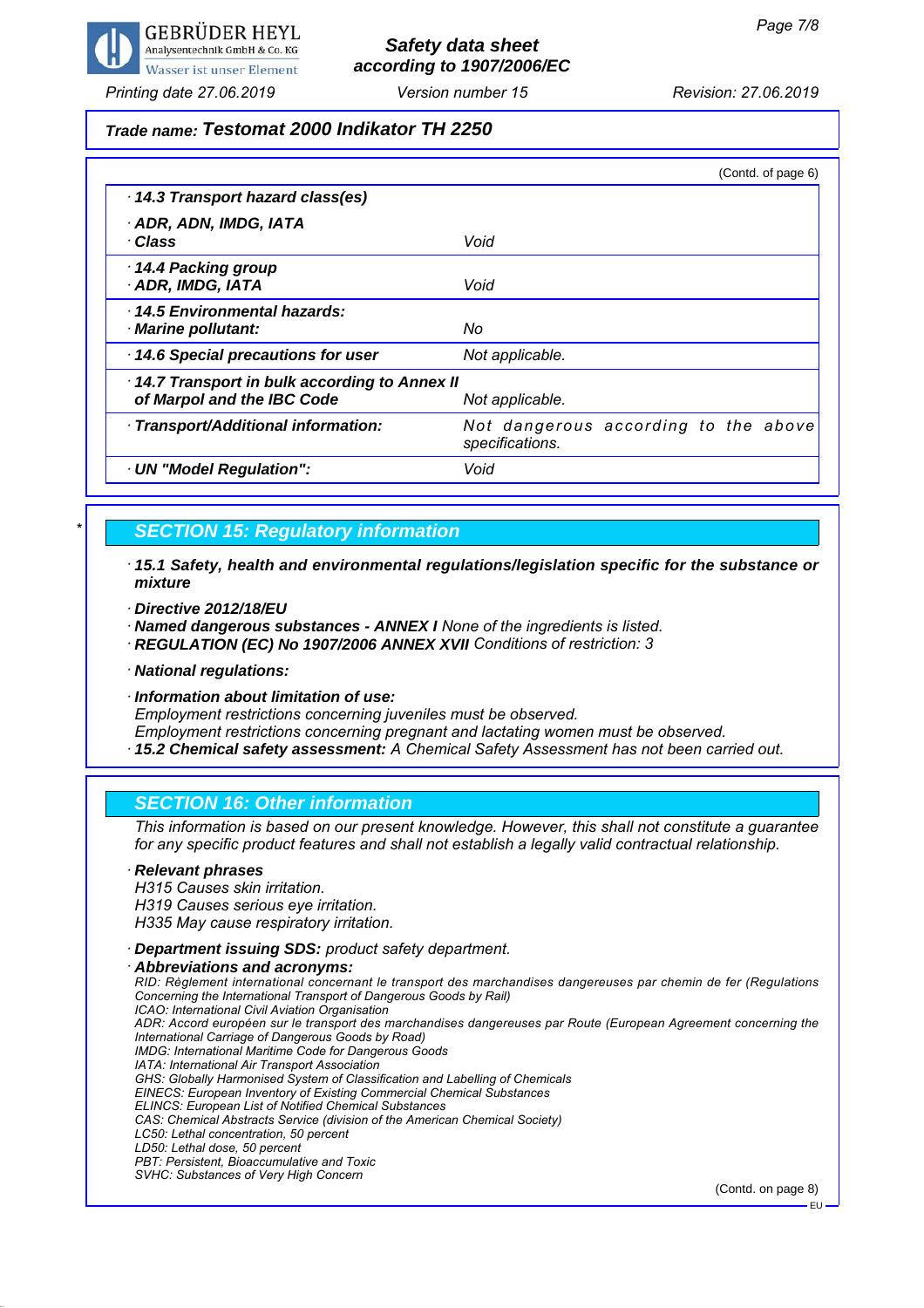

# *Safety data sheet according to 1907/2006/EC*

*Printing date 27.06.2019 Revision: 27.06.2019 Version number 15*

#### *Trade name: Testomat 2000 Indikator TH 2250*

|                                                                            | (Contd. of page 6)                                      |
|----------------------------------------------------------------------------|---------------------------------------------------------|
| 14.3 Transport hazard class(es)                                            |                                                         |
| · ADR, ADN, IMDG, IATA<br>· Class                                          | Void                                                    |
| 14.4 Packing group<br>· ADR, IMDG, IATA                                    | Void                                                    |
| 14.5 Environmental hazards:<br>· Marine pollutant:                         | No                                                      |
| 14.6 Special precautions for user                                          | Not applicable.                                         |
| 14.7 Transport in bulk according to Annex II<br>of Marpol and the IBC Code | Not applicable.                                         |
| · Transport/Additional information:                                        | Not dangerous according to the above<br>specifications. |
| · UN "Model Regulation":                                                   | Void                                                    |

#### *\* SECTION 15: Regulatory information*

- *· 15.1 Safety, health and environmental regulations/legislation specific for the substance or mixture*
- *· Directive 2012/18/EU*

*· Named dangerous substances - ANNEX I None of the ingredients is listed.*

- *· REGULATION (EC) No 1907/2006 ANNEX XVII Conditions of restriction: 3*
- *· National regulations:*
- *· Information about limitation of use:*

*Employment restrictions concerning juveniles must be observed.*

*Employment restrictions concerning pregnant and lactating women must be observed.*

*· 15.2 Chemical safety assessment: A Chemical Safety Assessment has not been carried out.*

#### *SECTION 16: Other information*

*This information is based on our present knowledge. However, this shall not constitute a guarantee for any specific product features and shall not establish a legally valid contractual relationship.*

#### *· Relevant phrases H315 Causes skin irritation. H319 Causes serious eye irritation. H335 May cause respiratory irritation. · Department issuing SDS: product safety department.*

*· Abbreviations and acronyms: RID: Règlement international concernant le transport des marchandises dangereuses par chemin de fer (Regulations Concerning the International Transport of Dangerous Goods by Rail) ICAO: International Civil Aviation Organisation ADR: Accord européen sur le transport des marchandises dangereuses par Route (European Agreement concerning the International Carriage of Dangerous Goods by Road) IMDG: International Maritime Code for Dangerous Goods IATA: International Air Transport Association GHS: Globally Harmonised System of Classification and Labelling of Chemicals EINECS: European Inventory of Existing Commercial Chemical Substances ELINCS: European List of Notified Chemical Substances CAS: Chemical Abstracts Service (division of the American Chemical Society) LC50: Lethal concentration, 50 percent LD50: Lethal dose, 50 percent PBT: Persistent, Bioaccumulative and Toxic SVHC: Substances of Very High Concern*

(Contd. on page 8)

EU